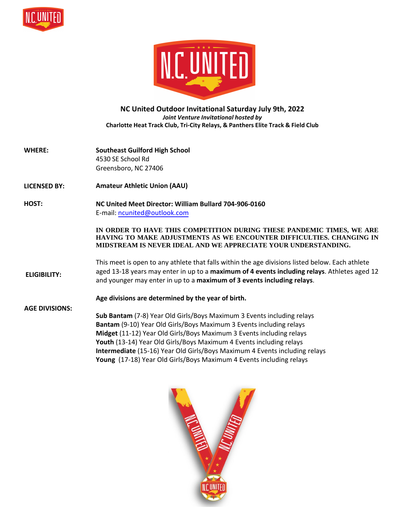



## **NC United Outdoor Invitational Saturday July 9th, 2022**  *Joint Venture Invitational hosted by* **Charlotte Heat Track Club, Tri-City Relays, & Panthers Elite Track & Field Club**

- **WHERE: Southeast Guilford High School** 4530 SE School Rd Greensboro, NC 27406
- **LICENSED BY: Amateur Athletic Union (AAU)**

## **HOST: NC United Meet Director: William Bullard 704-906-0160** E-mail: [ncunited@outlook.com](mailto:coacho.officials@gmail.com)

## **IN ORDER TO HAVE THIS COMPETITION DURING THESE PANDEMIC TIMES, WE ARE HAVING TO MAKE ADJUSTMENTS AS WE ENCOUNTER DIFFICULTIES. CHANGING IN MIDSTREAM IS NEVER IDEAL AND WE APPRECIATE YOUR UNDERSTANDING.**

**ELIGIBILITY:** This meet is open to any athlete that falls within the age divisions listed below. Each athlete aged 13-18 years may enter in up to a **maximum of 4 events including relays**. Athletes aged 12 and younger may enter in up to a **maximum of 3 events including relays**.

**Age divisions are determined by the year of birth.** 

**AGE DIVISIONS: Sub Bantam** (7-8) Year Old Girls/Boys Maximum 3 Events including relays **Bantam** (9-10) Year Old Girls/Boys Maximum 3 Events including relays **Midget** (11-12) Year Old Girls/Boys Maximum 3 Events including relays **Youth** (13-14) Year Old Girls/Boys Maximum 4 Events including relays **Intermediate** (15-16) Year Old Girls/Boys Maximum 4 Events including relays **Young** (17-18) Year Old Girls/Boys Maximum 4 Events including relays

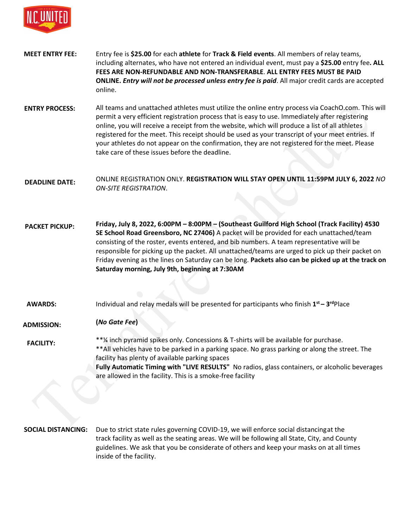

- **MEET ENTRY FEE:** Entry fee is **\$25.00** for each **athlete** for **Track & Field events**. All members of relay teams, including alternates, who have not entered an individual event, must pay a **\$25.00** entry fee**. ALL FEES ARE NON-REFUNDABLE AND NON-TRANSFERABLE**. **ALL ENTRY FEES MUST BE PAID ONLINE.** *Entry will not be processed unless entry fee is paid*. All major credit cards are accepted online.
- **ENTRY PROCESS:** All teams and unattached athletes must utilize the online entry process via CoachO.com. This will permit a very efficient registration process that is easy to use. Immediately after registering online, you will receive a receipt from the website, which will produce a list of all athletes registered for the meet. This receipt should be used as your transcript of your meet entries. If your athletes do not appear on the confirmation, they are not registered for the meet. Please take care of these issues before the deadline.

**DEADLINE DATE:** ONLINE REGISTRATION ONLY. **REGISTRATION WILL STAY OPEN UNTIL 11:59PM JULY 6, 2022** *NO ON-SITE REGISTRATION*.

**PACKET PICKUP: Friday, July 8, 2022, 6:00PM – 8:00PM – (Southeast Guilford High School (Track Facility) 4530 SE School Road Greensboro, NC 27406)** A packet will be provided for each unattached/team consisting of the roster, events entered, and bib numbers. A team representative will be responsible for picking up the packet. All unattached/teams are urged to pick up their packet on Friday evening as the lines on Saturday can be long. **Packets also can be picked up at the track on Saturday morning, July 9th, beginning at 7:30AM** 

**AWARDS:** Individual and relay medals will be presented for participants who finish **1 st – 3 rd**Place

**ADMISSION: (***No Gate Fee***)** 

**FACILITY:** \*\*¼ inch pyramid spikes only. Concessions & T-shirts will be available for purchase. \*\*All vehicles have to be parked in a parking space. No grass parking or along the street. The facility has plenty of available parking spaces **Fully Automatic Timing with "LIVE RESULTS"** No radios, glass containers, or alcoholic beverages are allowed in the facility. This is a smoke-free facility

**SOCIAL DISTANCING:** Due to strict state rules governing COVID-19, we will enforce social distancingat the track facility as well as the seating areas. We will be following all State, City, and County guidelines. We ask that you be considerate of others and keep your masks on at all times inside of the facility.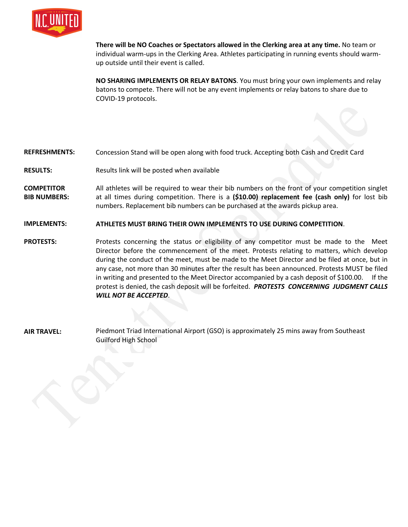

**There will be NO Coaches or Spectators allowed in the Clerking area at any time.** No team or individual warm-ups in the Clerking Area. Athletes participating in running events should warmup outside until their event is called.

**NO SHARING IMPLEMENTS OR RELAY BATONS**. You must bring your own implements and relay batons to compete. There will not be any event implements or relay batons to share due to COVID-19 protocols.

**REFRESHMENTS:** Concession Stand will be open along with food truck. Accepting both Cash and Credit Card

- **RESULTS:** Results link will be posted whe[n available](http://www.coacho.com/)
- **COMPETITOR BIB NUMBERS:** All athletes will be required to wear their bib numbers on the front of your competition singlet at all times during competition. There is a **(\$10.00) replacement fee (cash only)** for lost bib numbers. Replacement bib numbers can be purchased at the awards pickup area.
- **IMPLEMENTS: ATHLETES MUST BRING THEIR OWN IMPLEMENTS TO USE DURING COMPETITION**.

**PROTESTS:** Protests concerning the status or eligibility of any competitor must be made to the Meet Director before the commencement of the meet. Protests relating to matters, which develop during the conduct of the meet, must be made to the Meet Director and be filed at once, but in any case, not more than 30 minutes after the result has been announced. Protests MUST be filed in writing and presented to the Meet Director accompanied by a cash deposit of \$100.00. If the protest is denied, the cash deposit will be forfeited. *PROTESTS CONCERNING JUDGMENT CALLS WILL NOT BE ACCEPTED*.

**AIR TRAVEL:** Piedmont Triad International Airport (GSO) is approximately 25 mins away from Southeast Guilford High School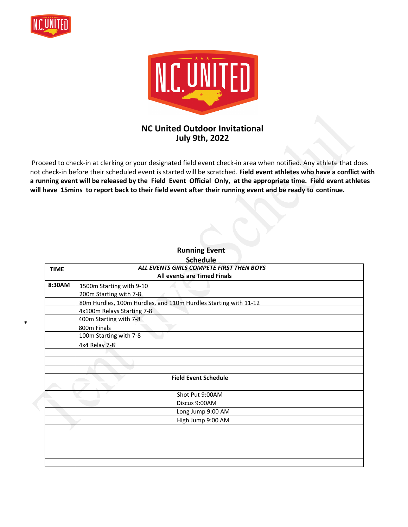

**\***



## **NC United Outdoor Invitational July 9th, 2022**

 Proceed to check-in at clerking or your designated field event check-in area when notified. Any athlete that does not check-in before their scheduled event is started will be scratched. **Field event athletes who have a conflict with a running event will be released by the Field Event Official Only, at the appropriate time. Field event athletes will have 15mins to report back to their field event after their running event and be ready to continue.** 

**Running Event** 

| ALL EVENTS GIRLS COMPETE FIRST THEN BOYS                        |
|-----------------------------------------------------------------|
|                                                                 |
| <b>All events are Timed Finals</b>                              |
| 1500m Starting with 9-10                                        |
| 200m Starting with 7-8                                          |
| 80m Hurdles, 100m Hurdles, and 110m Hurdles Starting with 11-12 |
| 4x100m Relays Starting 7-8                                      |
| 400m Starting with 7-8                                          |
| 800m Finals                                                     |
| 100m Starting with 7-8                                          |
| 4x4 Relay 7-8                                                   |
|                                                                 |
|                                                                 |
|                                                                 |
| <b>Field Event Schedule</b>                                     |
|                                                                 |
| Shot Put 9:00AM                                                 |
| Discus 9:00AM                                                   |
| Long Jump 9:00 AM                                               |
| High Jump 9:00 AM                                               |
|                                                                 |
|                                                                 |
|                                                                 |
|                                                                 |
|                                                                 |
|                                                                 |